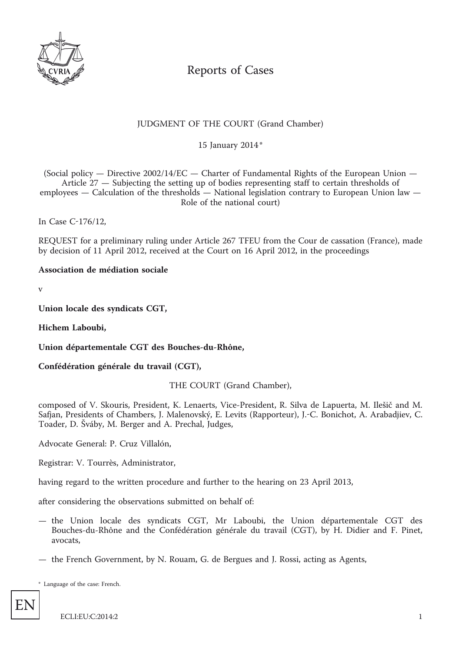

# Reports of Cases

## JUDGMENT OF THE COURT (Grand Chamber)

\* 15 January 2014

(Social policy  $-$  Directive 2002/14/EC  $-$  Charter of Fundamental Rights of the European Union  $-$ Article 27 — Subjecting the setting up of bodies representing staff to certain thresholds of employees — Calculation of the thresholds — National legislation contrary to European Union law — Role of the national court)

In Case C-176/12,

REQUEST for a preliminary ruling under Article 267 TFEU from the Cour de cassation (France), made by decision of 11 April 2012, received at the Court on 16 April 2012, in the proceedings

**Association de médiation sociale**

v

**Union locale des syndicats CGT,**

**Hichem Laboubi,**

**Union départementale CGT des Bouches-du-Rhône,**

**Confédération générale du travail (CGT),**

THE COURT (Grand Chamber),

composed of V. Skouris, President, K. Lenaerts, Vice-President, R. Silva de Lapuerta, M. Ilešič and M. Safjan, Presidents of Chambers, J. Malenovský, E. Levits (Rapporteur), J.-C. Bonichot, A. Arabadjiev, C. Toader, D. Šváby, M. Berger and A. Prechal, Judges,

Advocate General: P. Cruz Villalón,

Registrar: V. Tourrès, Administrator,

having regard to the written procedure and further to the hearing on 23 April 2013,

after considering the observations submitted on behalf of:

- the Union locale des syndicats CGT, Mr Laboubi, the Union départementale CGT des Bouches-du-Rhône and the Confédération générale du travail (CGT), by H. Didier and F. Pinet, avocats,
- the French Government, by N. Rouam, G. de Bergues and J. Rossi, acting as Agents,

\* Language of the case: French.

EN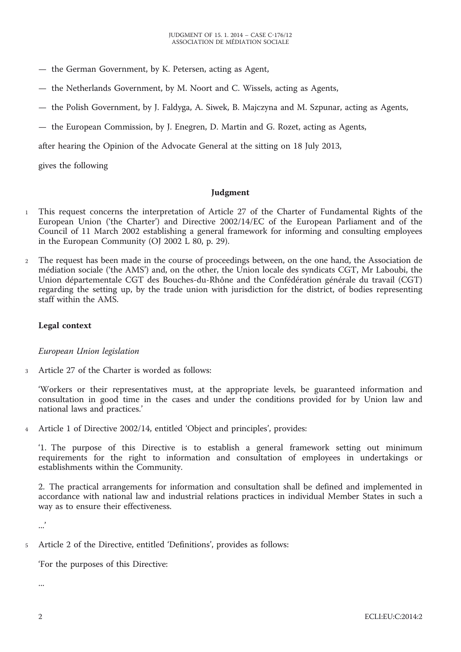- the German Government, by K. Petersen, acting as Agent,
- the Netherlands Government, by M. Noort and C. Wissels, acting as Agents,
- the Polish Government, by J. Faldyga, A. Siwek, B. Majczyna and M. Szpunar, acting as Agents,
- the European Commission, by J. Enegren, D. Martin and G. Rozet, acting as Agents,

after hearing the Opinion of the Advocate General at the sitting on 18 July 2013,

gives the following

#### **Judgment**

- 1 This request concerns the interpretation of Article 27 of the Charter of Fundamental Rights of the European Union ('the Charter') and Directive 2002/14/EC of the European Parliament and of the Council of 11 March 2002 establishing a general framework for informing and consulting employees in the European Community (OJ 2002 L 80, p. 29).
- 2 The request has been made in the course of proceedings between, on the one hand, the Association de médiation sociale ('the AMS') and, on the other, the Union locale des syndicats CGT, Mr Laboubi, the Union départementale CGT des Bouches-du-Rhône and the Confédération générale du travail (CGT) regarding the setting up, by the trade union with jurisdiction for the district, of bodies representing staff within the AMS.

### **Legal context**

#### *European Union legislation*

3 Article 27 of the Charter is worded as follows:

'Workers or their representatives must, at the appropriate levels, be guaranteed information and consultation in good time in the cases and under the conditions provided for by Union law and national laws and practices.'

4 Article 1 of Directive 2002/14, entitled 'Object and principles', provides:

'1. The purpose of this Directive is to establish a general framework setting out minimum requirements for the right to information and consultation of employees in undertakings or establishments within the Community.

2. The practical arrangements for information and consultation shall be defined and implemented in accordance with national law and industrial relations practices in individual Member States in such a way as to ensure their effectiveness.

...'

5 Article 2 of the Directive, entitled 'Definitions', provides as follows:

'For the purposes of this Directive:

...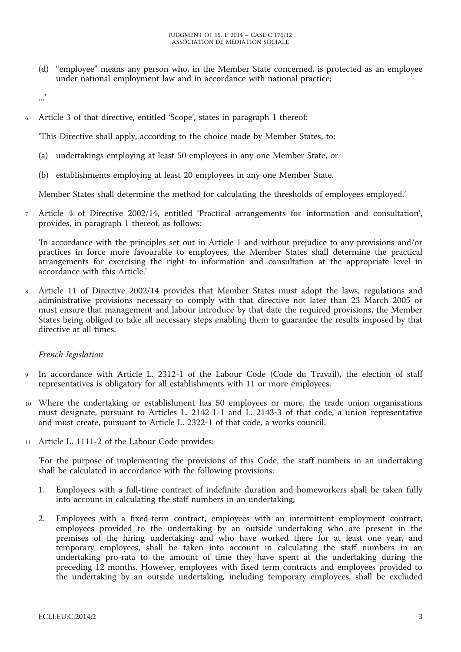(d) "employee" means any person who, in the Member State concerned, is protected as an employee under national employment law and in accordance with national practice;

...'

6 Article 3 of that directive, entitled 'Scope', states in paragraph 1 thereof:

'This Directive shall apply, according to the choice made by Member States, to:

- (a) undertakings employing at least 50 employees in any one Member State, or
- (b) establishments employing at least 20 employees in any one Member State.

Member States shall determine the method for calculating the thresholds of employees employed.'

7 Article 4 of Directive 2002/14, entitled 'Practical arrangements for information and consultation', provides, in paragraph 1 thereof, as follows:

'In accordance with the principles set out in Article 1 and without prejudice to any provisions and/or practices in force more favourable to employees, the Member States shall determine the practical arrangements for exercising the right to information and consultation at the appropriate level in accordance with this Article.'

8 Article 11 of Directive 2002/14 provides that Member States must adopt the laws, regulations and administrative provisions necessary to comply with that directive not later than 23 March 2005 or must ensure that management and labour introduce by that date the required provisions, the Member States being obliged to take all necessary steps enabling them to guarantee the results imposed by that directive at all times.

## *French legislation*

- 9 In accordance with Article L. 2312-1 of the Labour Code (Code du Travail), the election of staff representatives is obligatory for all establishments with 11 or more employees.
- 10 Where the undertaking or establishment has 50 employees or more, the trade union organisations must designate, pursuant to Articles L. 2142-1-1 and L. 2143-3 of that code, a union representative and must create, pursuant to Article L. 2322-1 of that code, a works council.
- 11 Article L. 1111-2 of the Labour Code provides:

'For the purpose of implementing the provisions of this Code, the staff numbers in an undertaking shall be calculated in accordance with the following provisions:

- 1. Employees with a full-time contract of indefinite duration and homeworkers shall be taken fully into account in calculating the staff numbers in an undertaking;
- 2. Employees with a fixed-term contract, employees with an intermittent employment contract, employees provided to the undertaking by an outside undertaking who are present in the premises of the hiring undertaking and who have worked there for at least one year, and temporary employees, shall be taken into account in calculating the staff numbers in an undertaking pro-rata to the amount of time they have spent at the undertaking during the preceding 12 months. However, employees with fixed term contracts and employees provided to the undertaking by an outside undertaking, including temporary employees, shall be excluded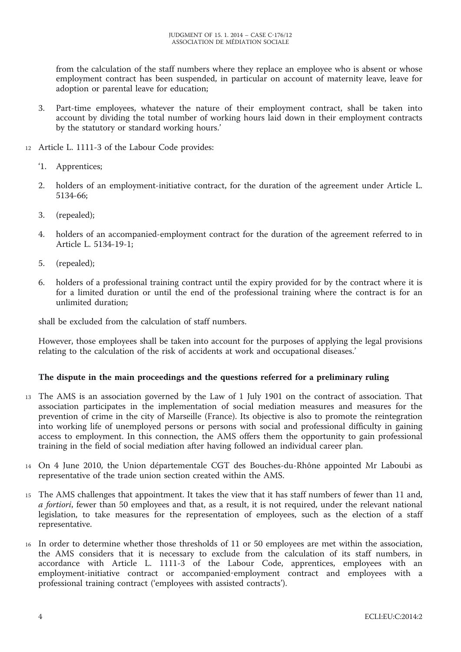from the calculation of the staff numbers where they replace an employee who is absent or whose employment contract has been suspended, in particular on account of maternity leave, leave for adoption or parental leave for education;

- 3. Part-time employees, whatever the nature of their employment contract, shall be taken into account by dividing the total number of working hours laid down in their employment contracts by the statutory or standard working hours.'
- 12 Article L. 1111-3 of the Labour Code provides:
	- '1. Apprentices;
	- 2. holders of an employment-initiative contract, for the duration of the agreement under Article L. 5134-66;
	- 3. (repealed);
	- 4. holders of an accompanied-employment contract for the duration of the agreement referred to in Article L. 5134-19-1;
	- 5. (repealed);
	- 6. holders of a professional training contract until the expiry provided for by the contract where it is for a limited duration or until the end of the professional training where the contract is for an unlimited duration;

shall be excluded from the calculation of staff numbers.

However, those employees shall be taken into account for the purposes of applying the legal provisions relating to the calculation of the risk of accidents at work and occupational diseases.'

## **The dispute in the main proceedings and the questions referred for a preliminary ruling**

- 13 The AMS is an association governed by the Law of 1 July 1901 on the contract of association. That association participates in the implementation of social mediation measures and measures for the prevention of crime in the city of Marseille (France). Its objective is also to promote the reintegration into working life of unemployed persons or persons with social and professional difficulty in gaining access to employment. In this connection, the AMS offers them the opportunity to gain professional training in the field of social mediation after having followed an individual career plan.
- 14 On 4 June 2010, the Union départementale CGT des Bouches-du-Rhône appointed Mr Laboubi as representative of the trade union section created within the AMS.
- 15 The AMS challenges that appointment. It takes the view that it has staff numbers of fewer than 11 and, *a fortiori*, fewer than 50 employees and that, as a result, it is not required, under the relevant national legislation, to take measures for the representation of employees, such as the election of a staff representative.
- 16 In order to determine whether those thresholds of 11 or 50 employees are met within the association, the AMS considers that it is necessary to exclude from the calculation of its staff numbers, in accordance with Article L. 1111-3 of the Labour Code, apprentices, employees with an employment-initiative contract or accompanied-employment contract and employees with a professional training contract ('employees with assisted contracts').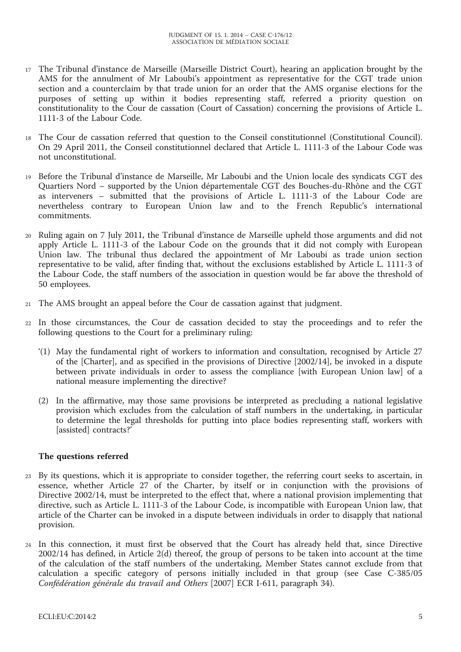- 17 The Tribunal d'instance de Marseille (Marseille District Court), hearing an application brought by the AMS for the annulment of Mr Laboubi's appointment as representative for the CGT trade union section and a counterclaim by that trade union for an order that the AMS organise elections for the purposes of setting up within it bodies representing staff, referred a priority question on constitutionality to the Cour de cassation (Court of Cassation) concerning the provisions of Article L. 1111-3 of the Labour Code.
- 18 The Cour de cassation referred that question to the Conseil constitutionnel (Constitutional Council). On 29 April 2011, the Conseil constitutionnel declared that Article L. 1111-3 of the Labour Code was not unconstitutional.
- 19 Before the Tribunal d'instance de Marseille, Mr Laboubi and the Union locale des syndicats CGT des Quartiers Nord – supported by the Union départementale CGT des Bouches-du-Rhône and the CGT as interveners – submitted that the provisions of Article L. 1111-3 of the Labour Code are nevertheless contrary to European Union law and to the French Republic's international commitments.
- 20 Ruling again on 7 July 2011, the Tribunal d'instance de Marseille upheld those arguments and did not apply Article L. 1111-3 of the Labour Code on the grounds that it did not comply with European Union law. The tribunal thus declared the appointment of Mr Laboubi as trade union section representative to be valid, after finding that, without the exclusions established by Article L. 1111-3 of the Labour Code, the staff numbers of the association in question would be far above the threshold of 50 employees.
- 21 The AMS brought an appeal before the Cour de cassation against that judgment.
- 22 In those circumstances, the Cour de cassation decided to stay the proceedings and to refer the following questions to the Court for a preliminary ruling:
	- '(1) May the fundamental right of workers to information and consultation, recognised by Article 27 of the [Charter], and as specified in the provisions of Directive [2002/14], be invoked in a dispute between private individuals in order to assess the compliance [with European Union law] of a national measure implementing the directive?
	- (2) In the affirmative, may those same provisions be interpreted as precluding a national legislative provision which excludes from the calculation of staff numbers in the undertaking, in particular to determine the legal thresholds for putting into place bodies representing staff, workers with [assisted] contracts?'

## **The questions referred**

- 23 By its questions, which it is appropriate to consider together, the referring court seeks to ascertain, in essence, whether Article 27 of the Charter, by itself or in conjunction with the provisions of Directive 2002/14, must be interpreted to the effect that, where a national provision implementing that directive, such as Article L. 1111-3 of the Labour Code, is incompatible with European Union law, that article of the Charter can be invoked in a dispute between individuals in order to disapply that national provision.
- 24 In this connection, it must first be observed that the Court has already held that, since Directive 2002/14 has defined, in Article 2(d) thereof, the group of persons to be taken into account at the time of the calculation of the staff numbers of the undertaking, Member States cannot exclude from that calculation a specific category of persons initially included in that group (see Case C-385/05 *Confédération générale du travail and Others* [2007] ECR I-611, paragraph 34).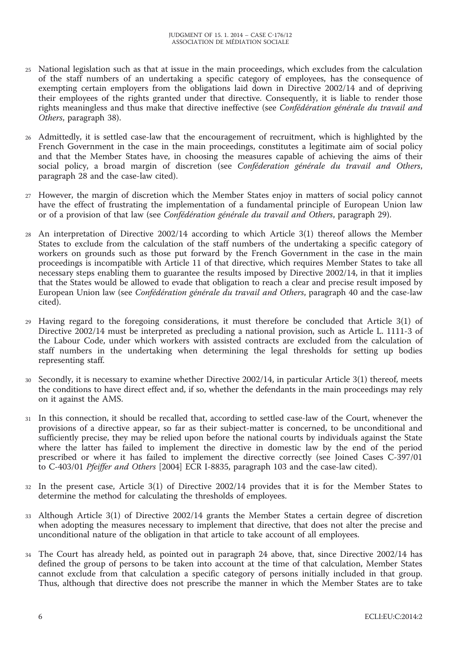- 25 National legislation such as that at issue in the main proceedings, which excludes from the calculation of the staff numbers of an undertaking a specific category of employees, has the consequence of exempting certain employers from the obligations laid down in Directive 2002/14 and of depriving their employees of the rights granted under that directive. Consequently, it is liable to render those rights meaningless and thus make that directive ineffective (see *Confédération générale du travail and Others*, paragraph 38).
- 26 Admittedly, it is settled case-law that the encouragement of recruitment, which is highlighted by the French Government in the case in the main proceedings, constitutes a legitimate aim of social policy and that the Member States have, in choosing the measures capable of achieving the aims of their social policy, a broad margin of discretion (see *Conféderation générale du travail and Others*, paragraph 28 and the case-law cited).
- 27 However, the margin of discretion which the Member States enjoy in matters of social policy cannot have the effect of frustrating the implementation of a fundamental principle of European Union law or of a provision of that law (see *Confédération générale du travail and Others*, paragraph 29).
- 28 An interpretation of Directive 2002/14 according to which Article 3(1) thereof allows the Member States to exclude from the calculation of the staff numbers of the undertaking a specific category of workers on grounds such as those put forward by the French Government in the case in the main proceedings is incompatible with Article 11 of that directive, which requires Member States to take all necessary steps enabling them to guarantee the results imposed by Directive 2002/14, in that it implies that the States would be allowed to evade that obligation to reach a clear and precise result imposed by European Union law (see *Confédération générale du travail and Others*, paragraph 40 and the case-law cited).
- 29 Having regard to the foregoing considerations, it must therefore be concluded that Article 3(1) of Directive 2002/14 must be interpreted as precluding a national provision, such as Article L. 1111-3 of the Labour Code, under which workers with assisted contracts are excluded from the calculation of staff numbers in the undertaking when determining the legal thresholds for setting up bodies representing staff.
- Secondly, it is necessary to examine whether Directive 2002/14, in particular Article 3(1) thereof, meets the conditions to have direct effect and, if so, whether the defendants in the main proceedings may rely on it against the AMS.
- 31 In this connection, it should be recalled that, according to settled case-law of the Court, whenever the provisions of a directive appear, so far as their subject-matter is concerned, to be unconditional and sufficiently precise, they may be relied upon before the national courts by individuals against the State where the latter has failed to implement the directive in domestic law by the end of the period prescribed or where it has failed to implement the directive correctly (see Joined Cases C-397/01 to C-403/01 *Pfeiffer and Others* [2004] ECR I-8835, paragraph 103 and the case-law cited).
- 32 In the present case, Article 3(1) of Directive 2002/14 provides that it is for the Member States to determine the method for calculating the thresholds of employees.
- 33 Although Article 3(1) of Directive 2002/14 grants the Member States a certain degree of discretion when adopting the measures necessary to implement that directive, that does not alter the precise and unconditional nature of the obligation in that article to take account of all employees.
- 34 The Court has already held, as pointed out in paragraph 24 above, that, since Directive 2002/14 has defined the group of persons to be taken into account at the time of that calculation, Member States cannot exclude from that calculation a specific category of persons initially included in that group. Thus, although that directive does not prescribe the manner in which the Member States are to take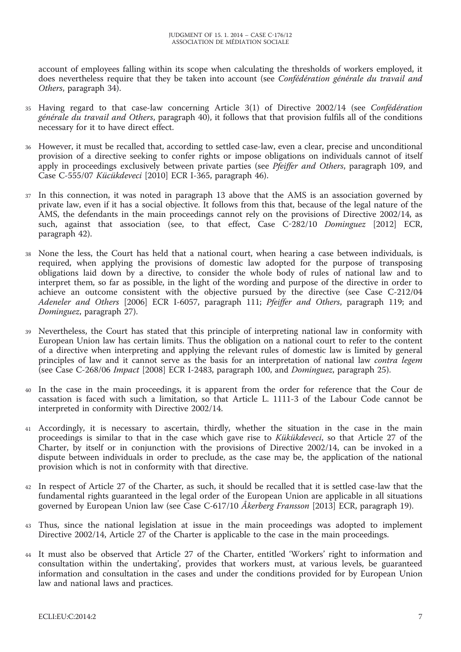account of employees falling within its scope when calculating the thresholds of workers employed, it does nevertheless require that they be taken into account (see *Confédération générale du travail and Others*, paragraph 34).

- 35 Having regard to that case-law concerning Article 3(1) of Directive 2002/14 (see *Confédération générale du travail and Others*, paragraph 40), it follows that that provision fulfils all of the conditions necessary for it to have direct effect.
- 36 However, it must be recalled that, according to settled case-law, even a clear, precise and unconditional provision of a directive seeking to confer rights or impose obligations on individuals cannot of itself apply in proceedings exclusively between private parties (see *Pfeiffer and Others*, paragraph 109, and Case C-555/07 *Kücükdeveci* [2010] ECR I-365, paragraph 46).
- 37 In this connection, it was noted in paragraph 13 above that the AMS is an association governed by private law, even if it has a social objective. It follows from this that, because of the legal nature of the AMS, the defendants in the main proceedings cannot rely on the provisions of Directive 2002/14, as such, against that association (see, to that effect, Case C-282/10 *Dominguez* [2012] ECR, paragraph 42).
- 38 None the less, the Court has held that a national court, when hearing a case between individuals, is required, when applying the provisions of domestic law adopted for the purpose of transposing obligations laid down by a directive, to consider the whole body of rules of national law and to interpret them, so far as possible, in the light of the wording and purpose of the directive in order to achieve an outcome consistent with the objective pursued by the directive (see Case C-212/04 *Adeneler and Others* [2006] ECR I-6057, paragraph 111; *Pfeiffer and Others*, paragraph 119; and *Dominguez*, paragraph 27).
- 39 Nevertheless, the Court has stated that this principle of interpreting national law in conformity with European Union law has certain limits. Thus the obligation on a national court to refer to the content of a directive when interpreting and applying the relevant rules of domestic law is limited by general principles of law and it cannot serve as the basis for an interpretation of national law *contra legem* (see Case C-268/06 *Impact* [2008] ECR I-2483, paragraph 100, and *Dominguez*, paragraph 25).
- 40 In the case in the main proceedings, it is apparent from the order for reference that the Cour de cassation is faced with such a limitation, so that Article L. 1111-3 of the Labour Code cannot be interpreted in conformity with Directive 2002/14.
- 41 Accordingly, it is necessary to ascertain, thirdly, whether the situation in the case in the main proceedings is similar to that in the case which gave rise to *Kükükdeveci*, so that Article 27 of the Charter, by itself or in conjunction with the provisions of Directive 2002/14, can be invoked in a dispute between individuals in order to preclude, as the case may be, the application of the national provision which is not in conformity with that directive.
- 42 In respect of Article 27 of the Charter, as such, it should be recalled that it is settled case-law that the fundamental rights guaranteed in the legal order of the European Union are applicable in all situations governed by European Union law (see Case C-617/10 *Åkerberg Fransson* [2013] ECR, paragraph 19).
- 43 Thus, since the national legislation at issue in the main proceedings was adopted to implement Directive 2002/14, Article 27 of the Charter is applicable to the case in the main proceedings.
- 44 It must also be observed that Article 27 of the Charter, entitled 'Workers' right to information and consultation within the undertaking', provides that workers must, at various levels, be guaranteed information and consultation in the cases and under the conditions provided for by European Union law and national laws and practices.